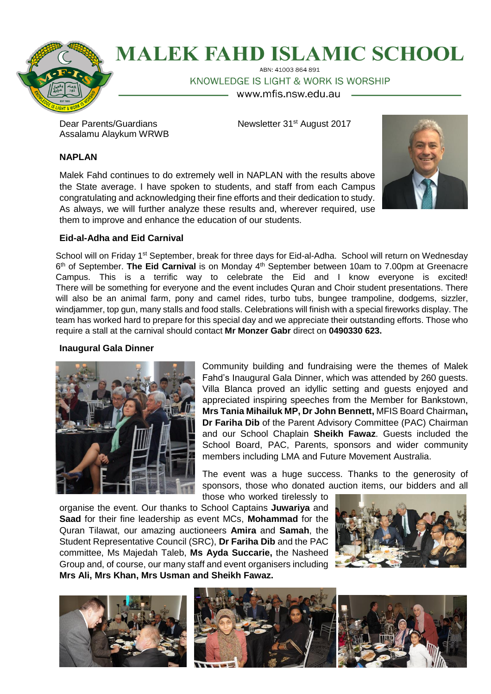

# **MALEK FAHD ISLAMIC SCHOOL** ABN: 41003 864 891

KNOWLEDGE IS LIGHT & WORK IS WORSHIP

www.mfis.nsw.edu.au

Assalamu Alaykum WRWB

Dear Parents/Guardians Newsletter 31<sup>st</sup> August 2017

# **NAPLAN**

Malek Fahd continues to do extremely well in NAPLAN with the results above the State average. I have spoken to students, and staff from each Campus congratulating and acknowledging their fine efforts and their dedication to study. As always, we will further analyze these results and, wherever required, use them to improve and enhance the education of our students.



# **Eid-al-Adha and Eid Carnival**

School will on Friday 1<sup>st</sup> September, break for three days for Eid-al-Adha. School will return on Wednesday 6<sup>th</sup> of September. The Eid Carnival is on Monday 4<sup>th</sup> September between 10am to 7.00pm at Greenacre Campus. This is a terrific way to celebrate the Eid and I know everyone is excited! There will be something for everyone and the event includes Quran and Choir student presentations. There will also be an animal farm, pony and camel rides, turbo tubs, bungee trampoline, dodgems, sizzler, windjammer, top gun, many stalls and food stalls. Celebrations will finish with a special fireworks display. The team has worked hard to prepare for this special day and we appreciate their outstanding efforts. Those who require a stall at the carnival should contact **Mr Monzer Gabr** direct on **0490330 623.**

# **Inaugural Gala Dinner**



Community building and fundraising were the themes of Malek Fahd's Inaugural Gala Dinner, which was attended by 260 guests. Villa Blanca proved an idyllic setting and guests enjoyed and appreciated inspiring speeches from the Member for Bankstown, **Mrs Tania Mihailuk MP, Dr John Bennett,** MFIS Board Chairman**, Dr Fariha Dib** of the Parent Advisory Committee (PAC) Chairman and our School Chaplain **Sheikh Fawaz**. Guests included the School Board, PAC, Parents, sponsors and wider community members including LMA and Future Movement Australia.

The event was a huge success. Thanks to the generosity of sponsors, those who donated auction items, our bidders and all

those who worked tirelessly to organise the event. Our thanks to School Captains **Juwariya** and **Saad** for their fine leadership as event MCs, **Mohammad** for the Quran Tilawat, our amazing auctioneers **Amira** and **Samah**, the Student Representative Council (SRC), **Dr Fariha Dib** and the PAC committee, Ms Majedah Taleb, **Ms Ayda Succarie,** the Nasheed Group and, of course, our many staff and event organisers including **Mrs Ali, Mrs Khan, Mrs Usman and Sheikh Fawaz.**



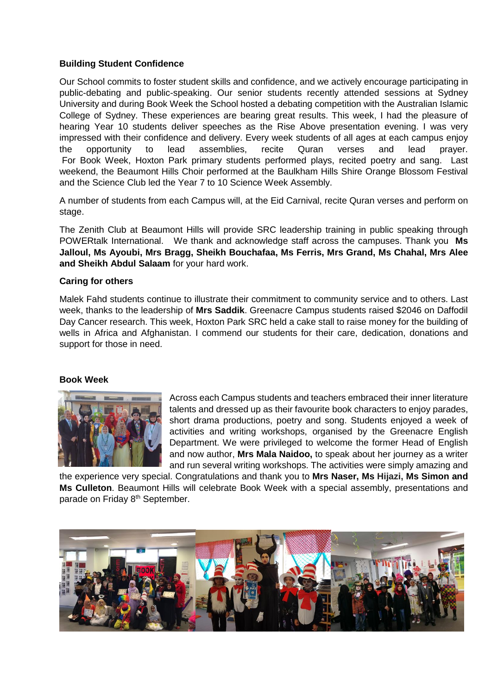# **Building Student Confidence**

Our School commits to foster student skills and confidence, and we actively encourage participating in public-debating and public-speaking. Our senior students recently attended sessions at Sydney University and during Book Week the School hosted a debating competition with the Australian Islamic College of Sydney. These experiences are bearing great results. This week, I had the pleasure of hearing Year 10 students deliver speeches as the Rise Above presentation evening. I was very impressed with their confidence and delivery. Every week students of all ages at each campus enjoy the opportunity to lead assemblies, recite Quran verses and lead prayer. For Book Week, Hoxton Park primary students performed plays, recited poetry and sang. Last weekend, the Beaumont Hills Choir performed at the Baulkham Hills Shire Orange Blossom Festival and the Science Club led the Year 7 to 10 Science Week Assembly.

A number of students from each Campus will, at the Eid Carnival, recite Quran verses and perform on stage.

The Zenith Club at Beaumont Hills will provide SRC leadership training in public speaking through POWERtalk International. We thank and acknowledge staff across the campuses. Thank you **Ms Jalloul, Ms Ayoubi, Mrs Bragg, Sheikh Bouchafaa, Ms Ferris, Mrs Grand, Ms Chahal, Mrs Alee and Sheikh Abdul Salaam** for your hard work.

# **Caring for others**

Malek Fahd students continue to illustrate their commitment to community service and to others. Last week, thanks to the leadership of **Mrs Saddik**. Greenacre Campus students raised \$2046 on Daffodil Day Cancer research. This week, Hoxton Park SRC held a cake stall to raise money for the building of wells in Africa and Afghanistan. I commend our students for their care, dedication, donations and support for those in need.

#### **Book Week**



Across each Campus students and teachers embraced their inner literature talents and dressed up as their favourite book characters to enjoy parades, short drama productions, poetry and song. Students enjoyed a week of activities and writing workshops, organised by the Greenacre English Department. We were privileged to welcome the former Head of English and now author, **Mrs Mala Naidoo,** to speak about her journey as a writer and run several writing workshops. The activities were simply amazing and

the experience very special. Congratulations and thank you to **Mrs Naser, Ms Hijazi, Ms Simon and Ms Culleton**. Beaumont Hills will celebrate Book Week with a special assembly, presentations and parade on Friday 8<sup>th</sup> September.

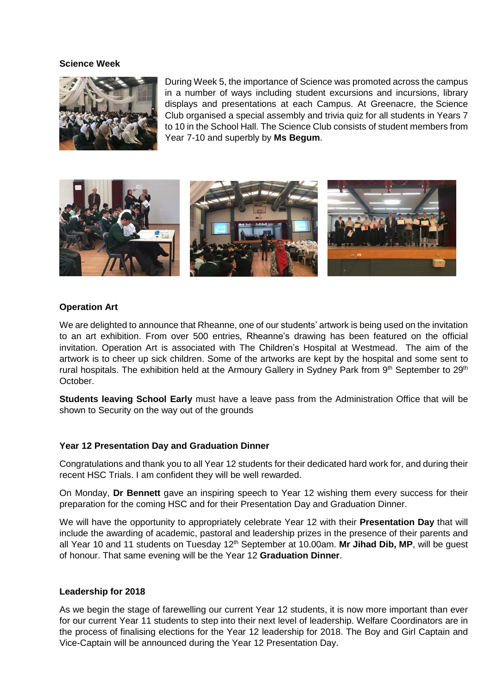#### **Science Week**



During Week 5, the importance of Science was promoted across the campus in a number of ways including student excursions and incursions, library displays and presentations at each Campus. At Greenacre, the Science Club organised a special assembly and trivia quiz for all students in Years 7 to 10 in the School Hall. The Science Club consists of student members from Year 7-10 and superbly by **Ms Begum**.



#### **Operation Art**

We are delighted to announce that Rheanne, one of our students' artwork is being used on the invitation to an art exhibition. From over 500 entries, Rheanne's drawing has been featured on the official invitation. Operation Art is associated with The Children's Hospital at Westmead. The aim of the artwork is to cheer up sick children. Some of the artworks are kept by the hospital and some sent to rural hospitals. The exhibition held at the Armoury Gallery in Sydney Park from 9<sup>th</sup> September to 29<sup>th</sup> October.

**Students leaving School Early** must have a leave pass from the Administration Office that will be shown to Security on the way out of the grounds

# **Year 12 Presentation Day and Graduation Dinner**

Congratulations and thank you to all Year 12 students for their dedicated hard work for, and during their recent HSC Trials. I am confident they will be well rewarded.

On Monday, **Dr Bennett** gave an inspiring speech to Year 12 wishing them every success for their preparation for the coming HSC and for their Presentation Day and Graduation Dinner.

We will have the opportunity to appropriately celebrate Year 12 with their **Presentation Day** that will include the awarding of academic, pastoral and leadership prizes in the presence of their parents and all Year 10 and 11 students on Tuesday 12th September at 10.00am. **Mr Jihad Dib, MP**, will be guest of honour. That same evening will be the Year 12 **Graduation Dinner**.

#### **Leadership for 2018**

As we begin the stage of farewelling our current Year 12 students, it is now more important than ever for our current Year 11 students to step into their next level of leadership. Welfare Coordinators are in the process of finalising elections for the Year 12 leadership for 2018. The Boy and Girl Captain and Vice-Captain will be announced during the Year 12 Presentation Day.